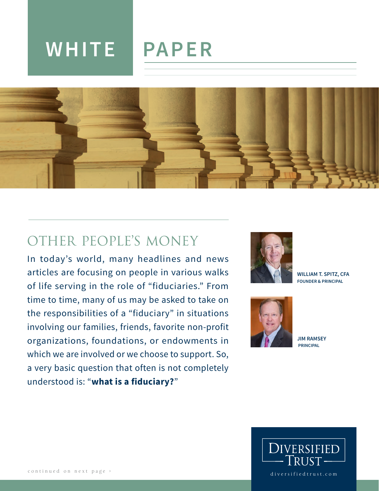# **WHITE PAPER**



# OTHER PEOPLE'S MONEY

In today's world, many headlines and news articles are focusing on people in various walks of life serving in the role of "fiduciaries." From time to time, many of us may be asked to take on the responsibilities of a "fiduciary" in situations involving our families, friends, favorite non-profit organizations, foundations, or endowments in which we are involved or we choose to support. So, a very basic question that often is not completely understood is: "**what is a fiduciary?**"



**WILLIAM T. SPITZ, CFA FOUNDER & PRINCIPAL**



**JIM RAMSEY PRINCIPAL**

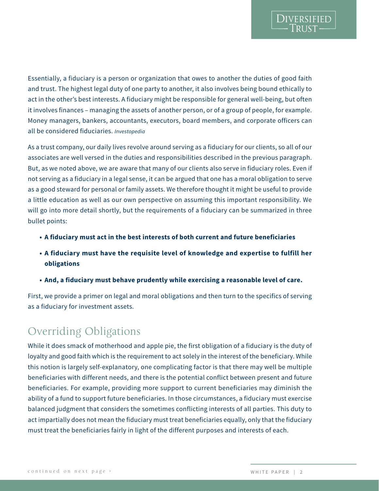Essentially, a fiduciary is a person or organization that owes to another the duties of good faith and trust. The highest legal duty of one party to another, it also involves being bound ethically to act in the other's best interests. A fiduciary might be responsible for general well-being, but often

**DIVERSIFIED** 

it involves finances – managing the assets of another person, or of a group of people, for example. Money managers, bankers, accountants, executors, board members, and corporate officers can all be considered fiduciaries. *Investopedia*

As a trust company, our daily lives revolve around serving as a fiduciary for our clients, so all of our associates are well versed in the duties and responsibilities described in the previous paragraph. But, as we noted above, we are aware that many of our clients also serve in fiduciary roles. Even if not serving as a fiduciary in a legal sense, it can be argued that one has a moral obligation to serve as a good steward for personal or family assets. We therefore thought it might be useful to provide a little education as well as our own perspective on assuming this important responsibility. We will go into more detail shortly, but the requirements of a fiduciary can be summarized in three bullet points:

- **• A fiduciary must act in the best interests of both current and future beneficiaries**
- **• A fiduciary must have the requisite level of knowledge and expertise to fulfill her obligations**
- **• And, a fiduciary must behave prudently while exercising a reasonable level of care.**

First, we provide a primer on legal and moral obligations and then turn to the specifics of serving as a fiduciary for investment assets.

# Overriding Obligations

While it does smack of motherhood and apple pie, the first obligation of a fiduciary is the duty of loyalty and good faith which is the requirement to act solely in the interest of the beneficiary. While this notion is largely self-explanatory, one complicating factor is that there may well be multiple beneficiaries with different needs, and there is the potential conflict between present and future beneficiaries. For example, providing more support to current beneficiaries may diminish the ability of a fund to support future beneficiaries. In those circumstances, a fiduciary must exercise balanced judgment that considers the sometimes conflicting interests of all parties. This duty to act impartially does not mean the fiduciary must treat beneficiaries equally, only that the fiduciary must treat the beneficiaries fairly in light of the different purposes and interests of each.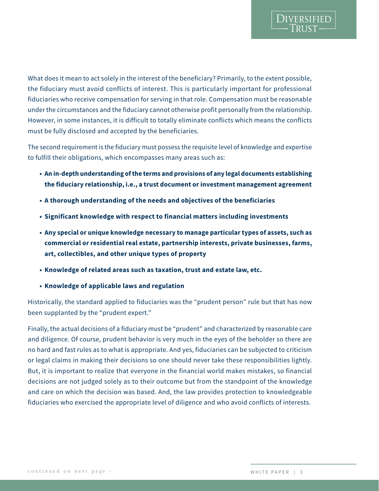What does it mean to act solely in the interest of the beneficiary? Primarily, to the extent possible, the fiduciary must avoid conflicts of interest. This is particularly important for professional fiduciaries who receive compensation for serving in that role. Compensation must be reasonable under the circumstances and the fiduciary cannot otherwise profit personally from the relationship. However, in some instances, it is difficult to totally eliminate conflicts which means the conflicts must be fully disclosed and accepted by the beneficiaries.

The second requirement is the fiduciary must possess the requisite level of knowledge and expertise to fulfill their obligations, which encompasses many areas such as:

- **• An in-depth understanding of the terms and provisions of any legal documents establishing the fiduciary relationship, i.e., a trust document or investment management agreement**
- **• A thorough understanding of the needs and objectives of the beneficiaries**
- **• Significant knowledge with respect to financial matters including investments**
- **• Any special or unique knowledge necessary to manage particular types of assets, such as commercial or residential real estate, partnership interests, private businesses, farms, art, collectibles, and other unique types of property**
- **• Knowledge of related areas such as taxation, trust and estate law, etc.**
- **• Knowledge of applicable laws and regulation**

Historically, the standard applied to fiduciaries was the "prudent person" rule but that has now been supplanted by the "prudent expert."

Finally, the actual decisions of a fiduciary must be "prudent" and characterized by reasonable care and diligence. Of course, prudent behavior is very much in the eyes of the beholder so there are no hard and fast rules as to what is appropriate. And yes, fiduciaries can be subjected to criticism or legal claims in making their decisions so one should never take these responsibilities lightly. But, it is important to realize that everyone in the financial world makes mistakes, so financial decisions are not judged solely as to their outcome but from the standpoint of the knowledge and care on which the decision was based. And, the law provides protection to knowledgeable fiduciaries who exercised the appropriate level of diligence and who avoid conflicts of interests.

**DIVERSIFIED**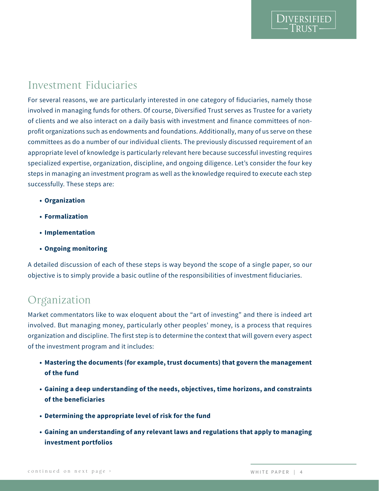### Investment Fiduciaries

For several reasons, we are particularly interested in one category of fiduciaries, namely those involved in managing funds for others. Of course, Diversified Trust serves as Trustee for a variety of clients and we also interact on a daily basis with investment and finance committees of nonprofit organizations such as endowments and foundations. Additionally, many of us serve on these committees as do a number of our individual clients. The previously discussed requirement of an appropriate level of knowledge is particularly relevant here because successful investing requires specialized expertise, organization, discipline, and ongoing diligence. Let's consider the four key steps in managing an investment program as well as the knowledge required to execute each step successfully. These steps are:

- **• Organization**
- **• Formalization**
- **• Implementation**
- **• Ongoing monitoring**

A detailed discussion of each of these steps is way beyond the scope of a single paper, so our objective is to simply provide a basic outline of the responsibilities of investment fiduciaries.

### Organization

Market commentators like to wax eloquent about the "art of investing" and there is indeed art involved. But managing money, particularly other peoples' money, is a process that requires organization and discipline. The first step is to determine the context that will govern every aspect of the investment program and it includes:

- **• Mastering the documents (for example, trust documents) that govern the management of the fund**
- **• Gaining a deep understanding of the needs, objectives, time horizons, and constraints of the beneficiaries**
- **• Determining the appropriate level of risk for the fund**
- **• Gaining an understanding of any relevant laws and regulations that apply to managing investment portfolios**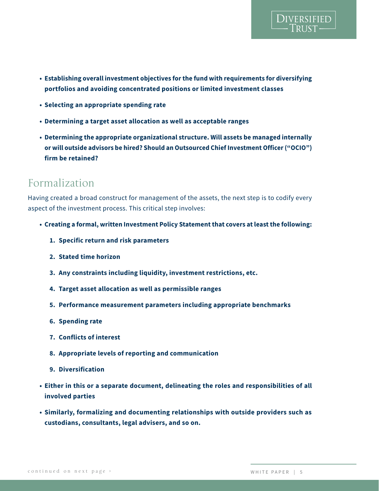- **• Establishing overall investment objectives for the fund with requirements for diversifying portfolios and avoiding concentrated positions or limited investment classes**
- **• Selecting an appropriate spending rate**
- **• Determining a target asset allocation as well as acceptable ranges**
- **• Determining the appropriate organizational structure. Will assets be managed internally or will outside advisors be hired? Should an Outsourced Chief Investment Officer ("OCIO") firm be retained?**

### Formalization

Having created a broad construct for management of the assets, the next step is to codify every aspect of the investment process. This critical step involves:

- **• Creating a formal, written Investment Policy Statement that covers at least the following:**
	- **1. Specific return and risk parameters**
	- **2. Stated time horizon**
	- **3. Any constraints including liquidity, investment restrictions, etc.**
	- **4. Target asset allocation as well as permissible ranges**
	- **5. Performance measurement parameters including appropriate benchmarks**
	- **6. Spending rate**
	- **7. Conflicts of interest**
	- **8. Appropriate levels of reporting and communication**
	- **9. Diversification**
- **• Either in this or a separate document, delineating the roles and responsibilities of all involved parties**
- **• Similarly, formalizing and documenting relationships with outside providers such as custodians, consultants, legal advisers, and so on.**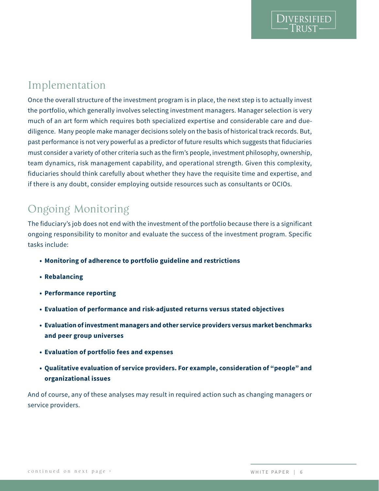### Implementation

Once the overall structure of the investment program is in place, the next step is to actually invest the portfolio, which generally involves selecting investment managers. Manager selection is very much of an art form which requires both specialized expertise and considerable care and duediligence. Many people make manager decisions solely on the basis of historical track records. But, past performance is not very powerful as a predictor of future results which suggests that fiduciaries must consider a variety of other criteria such as the firm's people, investment philosophy, ownership, team dynamics, risk management capability, and operational strength. Given this complexity, fiduciaries should think carefully about whether they have the requisite time and expertise, and if there is any doubt, consider employing outside resources such as consultants or OCIOs.

# Ongoing Monitoring

The fiduciary's job does not end with the investment of the portfolio because there is a significant ongoing responsibility to monitor and evaluate the success of the investment program. Specific tasks include:

- **• Monitoring of adherence to portfolio guideline and restrictions**
- **• Rebalancing**
- **• Performance reporting**
- **• Evaluation of performance and risk-adjusted returns versus stated objectives**
- **• Evaluation of investment managers and other service providers versus market benchmarks and peer group universes**
- **• Evaluation of portfolio fees and expenses**
- **• Qualitative evaluation of service providers. For example, consideration of "people" and organizational issues**

And of course, any of these analyses may result in required action such as changing managers or service providers.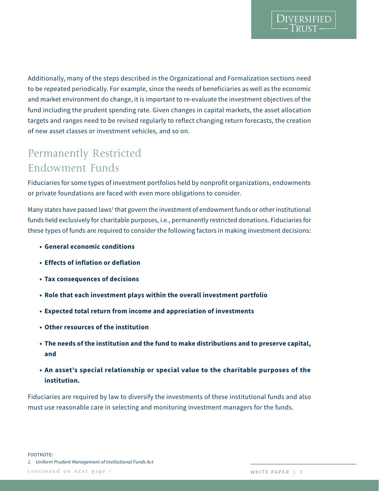DIVERSIFIED

Additionally, many of the steps described in the Organizational and Formalization sections need to be repeated periodically. For example, since the needs of beneficiaries as well as the economic and market environment do change, it is important to re-evaluate the investment objectives of the fund including the prudent spending rate. Given changes in capital markets, the asset allocation targets and ranges need to be revised regularly to reflect changing return forecasts, the creation of new asset classes or investment vehicles, and so on.

# Permanently Restricted Endowment Funds

Fiduciaries for some types of investment portfolios held by nonprofit organizations, endowments or private foundations are faced with even more obligations to consider.

Many states have passed laws<sup>1</sup> that govern the investment of endowment funds or other institutional funds held exclusively for charitable purposes, i.e., permanently restricted donations. Fiduciaries for these types of funds are required to consider the following factors in making investment decisions:

- **• General economic conditions**
- **• Effects of inflation or deflation**
- **• Tax consequences of decisions**
- **• Role that each investment plays within the overall investment portfolio**
- **• Expected total return from income and appreciation of investments**
- **• Other resources of the institution**
- **• The needs of the institution and the fund to make distributions and to preserve capital, and**
- **• An asset's special relationship or special value to the charitable purposes of the institution.**

Fiduciaries are required by law to diversify the investments of these institutional funds and also must use reasonable care in selecting and monitoring investment managers for the funds.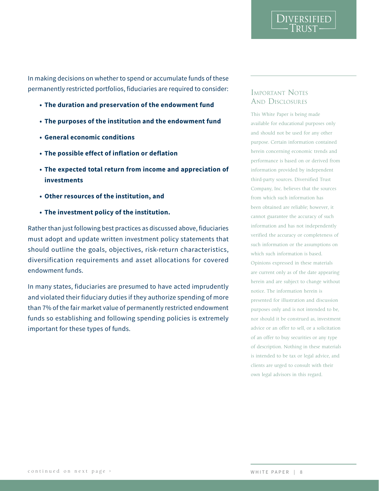In making decisions on whether to spend or accumulate funds of these permanently restricted portfolios, fiduciaries are required to consider:

- **• The duration and preservation of the endowment fund**
- **• The purposes of the institution and the endowment fund**
- **• General economic conditions**
- **• The possible effect of inflation or deflation**
- **• The expected total return from income and appreciation of investments**
- **• Other resources of the institution, and**
- **• The investment policy of the institution.**

Rather than just following best practices as discussed above, fiduciaries must adopt and update written investment policy statements that should outline the goals, objectives, risk-return characteristics, diversification requirements and asset allocations for covered endowment funds.

In many states, fiduciaries are presumed to have acted imprudently and violated their fiduciary duties if they authorize spending of more than 7% of the fair market value of permanently restricted endowment funds so establishing and following spending policies is extremely important for these types of funds.

#### Important Notes AND DISCLOSURES

DIVERSIFIED

This White Paper is being made available for educational purposes only and should not be used for any other purpose. Certain information contained herein concerning economic trends and performance is based on or derived from information provided by independent third-party sources. Diversified Trust Company, Inc. believes that the sources from which such information has been obtained are reliable; however, it cannot guarantee the accuracy of such information and has not independently verified the accuracy or completeness of such information or the assumptions on which such information is based. Opinions expressed in these materials are current only as of the date appearing herein and are subject to change without notice. The information herein is presented for illustration and discussion purposes only and is not intended to be, nor should it be construed as, investment advice or an offer to sell, or a solicitation of an offer to buy securities or any type of description. Nothing in these materials is intended to be tax or legal advice, and clients are urged to consult with their own legal advisors in this regard.